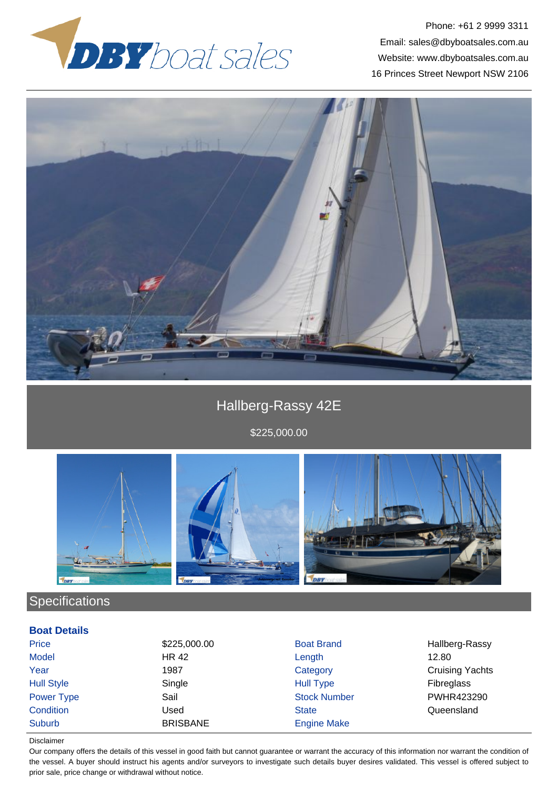

Phone: +61 2 9999 3311 Email: sales@dbyboatsales.com.au Website: www.dbyboatsales.com.au 16 Princes Street Newport NSW 2106



# Hallberg-Rassy 42E

\$225,000.00



## **Specifications**

#### **Boat Details**

| Price             | \$225,000.00    | <b>Boat Brand</b>   | Hallberg-Rassy         |
|-------------------|-----------------|---------------------|------------------------|
| Model             | <b>HR 42</b>    | Length              | 12.80                  |
| Year              | 1987            | Category            | <b>Cruising Yachts</b> |
| <b>Hull Style</b> | Single          | <b>Hull Type</b>    | <b>Fibreglass</b>      |
| Power Type        | Sail            | <b>Stock Number</b> | PWHR423290             |
| Condition         | Used            | <b>State</b>        | Queensland             |
| Suburb            | <b>BRISBANE</b> | <b>Engine Make</b>  |                        |

#### Disclaimer

Our company offers the details of this vessel in good faith but cannot guarantee or warrant the accuracy of this information nor warrant the condition of the vessel. A buyer should instruct his agents and/or surveyors to investigate such details buyer desires validated. This vessel is offered subject to prior sale, price change or withdrawal without notice.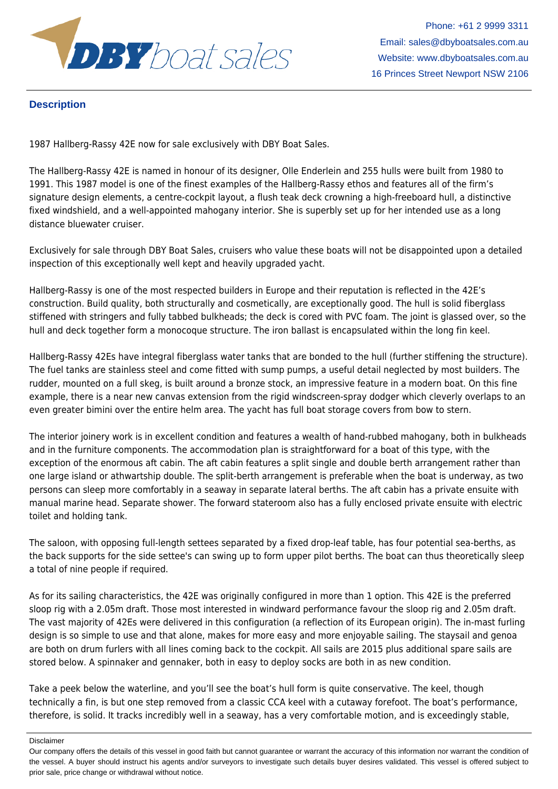

Phone: +61 2 9999 3311 Email: sales@dbyboatsales.com.au Website: www.dbyboatsales.com.au 16 Princes Street Newport NSW 2106

### **Description**

1987 Hallberg-Rassy 42E now for sale exclusively with DBY Boat Sales.

The Hallberg-Rassy 42E is named in honour of its designer, Olle Enderlein and 255 hulls were built from 1980 to 1991. This 1987 model is one of the finest examples of the Hallberg-Rassy ethos and features all of the firm's signature design elements, a centre-cockpit layout, a flush teak deck crowning a high-freeboard hull, a distinctive fixed windshield, and a well-appointed mahogany interior. She is superbly set up for her intended use as a long distance bluewater cruiser.

Exclusively for sale through DBY Boat Sales, cruisers who value these boats will not be disappointed upon a detailed inspection of this exceptionally well kept and heavily upgraded yacht.

Hallberg-Rassy is one of the most respected builders in Europe and their reputation is reflected in the 42E's construction. Build quality, both structurally and cosmetically, are exceptionally good. The hull is solid fiberglass stiffened with stringers and fully tabbed bulkheads; the deck is cored with PVC foam. The joint is glassed over, so the hull and deck together form a monocoque structure. The iron ballast is encapsulated within the long fin keel.

Hallberg-Rassy 42Es have integral fiberglass water tanks that are bonded to the hull (further stiffening the structure). The fuel tanks are stainless steel and come fitted with sump pumps, a useful detail neglected by most builders. The rudder, mounted on a full skeg, is built around a bronze stock, an impressive feature in a modern boat. On this fine example, there is a near new canvas extension from the rigid windscreen-spray dodger which cleverly overlaps to an even greater bimini over the entire helm area. The yacht has full boat storage covers from bow to stern.

The interior joinery work is in excellent condition and features a wealth of hand-rubbed mahogany, both in bulkheads and in the furniture components. The accommodation plan is straightforward for a boat of this type, with the exception of the enormous aft cabin. The aft cabin features a split single and double berth arrangement rather than one large island or athwartship double. The split-berth arrangement is preferable when the boat is underway, as two persons can sleep more comfortably in a seaway in separate lateral berths. The aft cabin has a private ensuite with manual marine head. Separate shower. The forward stateroom also has a fully enclosed private ensuite with electric toilet and holding tank.

The saloon, with opposing full-length settees separated by a fixed drop-leaf table, has four potential sea-berths, as the back supports for the side settee's can swing up to form upper pilot berths. The boat can thus theoretically sleep a total of nine people if required.

As for its sailing characteristics, the 42E was originally configured in more than 1 option. This 42E is the preferred sloop rig with a 2.05m draft. Those most interested in windward performance favour the sloop rig and 2.05m draft. The vast majority of 42Es were delivered in this configuration (a reflection of its European origin). The in-mast furling design is so simple to use and that alone, makes for more easy and more enjoyable sailing. The staysail and genoa are both on drum furlers with all lines coming back to the cockpit. All sails are 2015 plus additional spare sails are stored below. A spinnaker and gennaker, both in easy to deploy socks are both in as new condition.

Take a peek below the waterline, and you'll see the boat's hull form is quite conservative. The keel, though technically a fin, is but one step removed from a classic CCA keel with a cutaway forefoot. The boat's performance, therefore, is solid. It tracks incredibly well in a seaway, has a very comfortable motion, and is exceedingly stable,

Disclaimer

Our company offers the details of this vessel in good faith but cannot guarantee or warrant the accuracy of this information nor warrant the condition of the vessel. A buyer should instruct his agents and/or surveyors to investigate such details buyer desires validated. This vessel is offered subject to prior sale, price change or withdrawal without notice.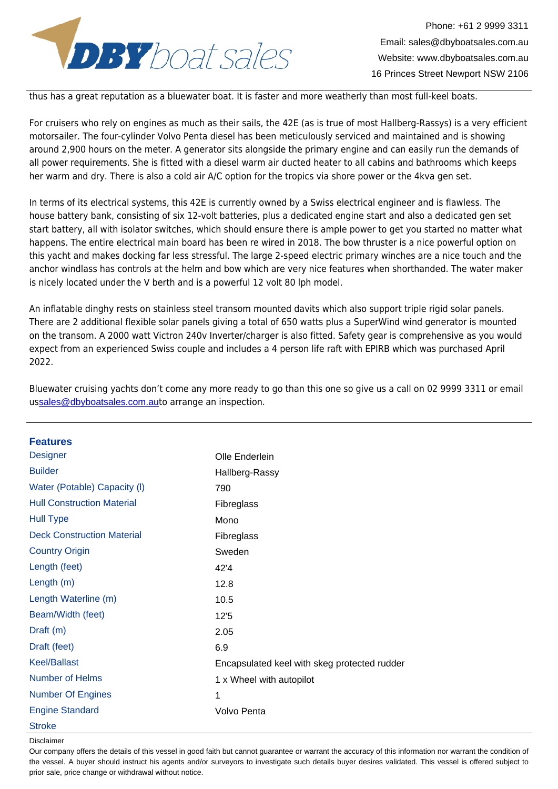

Email: sales@dbyboatsales.com.au

thus has a great reputation as a bluewater boat. It is faster and more weatherly than most full-keel boats.

For cruisers who rely on engines as much as their sails, the 42E (as is true of most Hallberg-Rassys) is a very efficient motorsailer. The four-cylinder Volvo Penta diesel has been meticulously serviced and maintained and is showing around 2,900 hours on the meter. A generator sits alongside the primary engine and can easily run the demands of all power requirements. She is fitted with a diesel warm air ducted heater to all cabins and bathrooms which keeps her warm and dry. There is also a cold air A/C option for the tropics via shore power or the 4kva gen set.

In terms of its electrical systems, this 42E is currently owned by a Swiss electrical engineer and is flawless. The house battery bank, consisting of six 12-volt batteries, plus a dedicated engine start and also a dedicated gen set start battery, all with isolator switches, which should ensure there is ample power to get you started no matter what happens. The entire electrical main board has been re wired in 2018. The bow thruster is a nice powerful option on this yacht and makes docking far less stressful. The large 2-speed electric primary winches are a nice touch and the anchor windlass has controls at the helm and bow which are very nice features when shorthanded. The water maker is nicely located under the V berth and is a powerful 12 volt 80 lph model.

An inflatable dinghy rests on stainless steel transom mounted davits which also support triple rigid solar panels. There are 2 additional flexible solar panels giving a total of 650 watts plus a SuperWind wind generator is mounted on the transom. A 2000 watt Victron 240v Inverter/charger is also fitted. Safety gear is comprehensive as you would expect from an experienced Swiss couple and includes a 4 person life raft with EPIRB which was purchased April 2022.

| <b>Features</b>                   |                                              |
|-----------------------------------|----------------------------------------------|
| <b>Designer</b>                   | Olle Enderlein                               |
| <b>Builder</b>                    | Hallberg-Rassy                               |
| Water (Potable) Capacity (I)      | 790                                          |
| <b>Hull Construction Material</b> | Fibreglass                                   |
| <b>Hull Type</b>                  | Mono                                         |
| <b>Deck Construction Material</b> | Fibreglass                                   |
| <b>Country Origin</b>             | Sweden                                       |
| Length (feet)                     | 42'4                                         |
| Length (m)                        | 12.8                                         |
| Length Waterline (m)              | 10.5                                         |
| Beam/Width (feet)                 | 12'5                                         |
| Draft $(m)$                       | 2.05                                         |
| Draft (feet)                      | 6.9                                          |
| <b>Keel/Ballast</b>               | Encapsulated keel with skeg protected rudder |
| <b>Number of Helms</b>            | 1 x Wheel with autopilot                     |
| <b>Number Of Engines</b>          | 1                                            |
| <b>Engine Standard</b>            | Volvo Penta                                  |
| <b>Stroke</b>                     |                                              |

Bluewater cruising yachts don't come any more ready to go than this one so give us a call on 02 9999 3311 or email ussales@dbyboatsales.com.auto arrange an inspection.

Disclaimer

Our company offers the details of this vessel in good faith but cannot guarantee or warrant the accuracy of this information nor warrant the condition of the vessel. A buyer should instruct his agents and/or surveyors to investigate such details buyer desires validated. This vessel is offered subject to prior sale, price change or withdrawal without notice.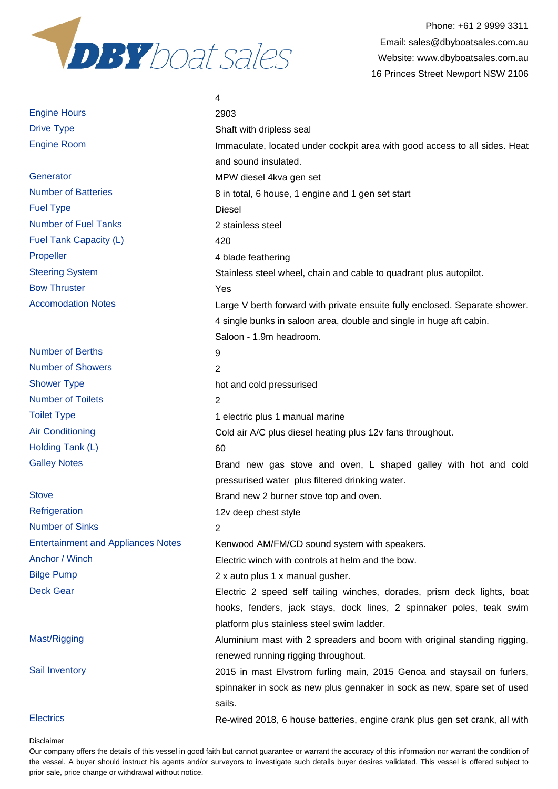

Immaculate, located under cockpit area with good access to all sides. Heat

4 single bunks in saloon area, double and single in huge aft cabin.

| <b>Engine Hours</b> | 2903  |
|---------------------|-------|
| <b>Drive Type</b>   | Shaft |
| Engine Room         | Imma  |

Generator **Generator** MPW diesel 4kva gen set Number of Batteries **8** in total, 6 house, 1 engine and 1 gen set start Fuel Type Diesel Number of Fuel Tanks 2 stainless steel Fuel Tank Capacity (L) 420 Propeller 4 blade feathering Steering System Stainless steel wheel, chain and cable to quadrant plus autopilot. Bow Thruster Yes Accomodation Notes **Large V** berth forward with private ensuite fully enclosed. Separate shower.

Number of Berths 9 Number of Showers 2 Shower Type hot and cold pressurised Number of Toilets 2002 Toilet Type 1 electric plus 1 manual marine Air Conditioning **Cold air A/C plus diesel heating plus 12v fans throughout.** Holding Tank (L) 60 Galley Notes **Brand new gas stove and oven, L shaped galley with hot and cold** 

Stove Stove **Brand new 2 burner stove top and oven.** 

Refrigeration 12v deep chest style Number of Sinks 2 Entertainment and Appliances Notes Kenwood AM/FM/CD sound system with speakers. Anchor / Winch Electric winch with controls at helm and the bow. Bilge Pump 2 x auto plus 1 x manual gusher. Deck Gear **Electric 2** speed self tailing winches, dorades, prism deck lights, boat

Mast/Rigging **Aluminium mast with 2 spreaders and boom with original standing rigging,** 

Sail Inventory **2015** in mast Elvstrom furling main, 2015 Genoa and staysail on furlers,

Electrics Re-wired 2018, 6 house batteries, engine crank plus gen set crank, all with

spinnaker in sock as new plus gennaker in sock as new, spare set of used

hooks, fenders, jack stays, dock lines, 2 spinnaker poles, teak swim

Disclaimer

Our company offers the details of this vessel in good faith but cannot guarantee or warrant the accuracy of this information nor warrant the condition of the vessel. A buyer should instruct his agents and/or surveyors to investigate such details buyer desires validated. This vessel is offered subject to prior sale, price change or withdrawal without notice.

sails.

Shaft with dripless seal

and sound insulated.

Saloon - 1.9m headroom.

pressurised water plus filtered drinking water.

platform plus stainless steel swim ladder.

renewed running rigging throughout.

4